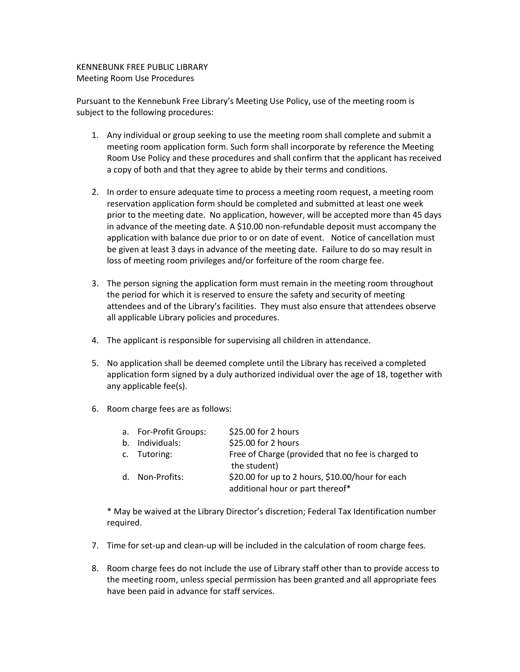## KENNEBUNK FREE PUBLIC LIBRARY Meeting Room Use Procedures

Pursuant to the Kennebunk Free Library's Meeting Use Policy, use of the meeting room is subject to the following procedures:

- 1. Any individual or group seeking to use the meeting room shall complete and submit a meeting room application form. Such form shall incorporate by reference the Meeting Room Use Policy and these procedures and shall confirm that the applicant has received a copy of both and that they agree to abide by their terms and conditions.
- 2. In order to ensure adequate time to process a meeting room request, a meeting room reservation application form should be completed and submitted at least one week prior to the meeting date. No application, however, will be accepted more than 45 days in advance of the meeting date. A \$10.00 non-refundable deposit must accompany the application with balance due prior to or on date of event. Notice of cancellation must be given at least 3 days in advance of the meeting date. Failure to do so may result in loss of meeting room privileges and/or forfeiture of the room charge fee.
- 3. The person signing the application form must remain in the meeting room throughout the period for which it is reserved to ensure the safety and security of meeting attendees and of the Library's facilities. They must also ensure that attendees observe all applicable Library policies and procedures.
- 4. The applicant is responsible for supervising all children in attendance.
- 5. No application shall be deemed complete until the Library has received a completed application form signed by a duly authorized individual over the age of 18, together with any applicable fee(s).
- 6. Room charge fees are as follows:

| a. For-Profit Groups: | \$25.00 for 2 hours                                                                  |
|-----------------------|--------------------------------------------------------------------------------------|
| b. Individuals:       | \$25.00 for 2 hours                                                                  |
| c. Tutoring:          | Free of Charge (provided that no fee is charged to<br>the student)                   |
| d. Non-Profits:       | \$20.00 for up to 2 hours, \$10.00/hour for each<br>additional hour or part thereof* |

\* May be waived at the Library Director's discretion; Federal Tax Identification number required.

- 7. Time for set-up and clean-up will be included in the calculation of room charge fees.
- 8. Room charge fees do not include the use of Library staff other than to provide access to the meeting room, unless special permission has been granted and all appropriate fees have been paid in advance for staff services.